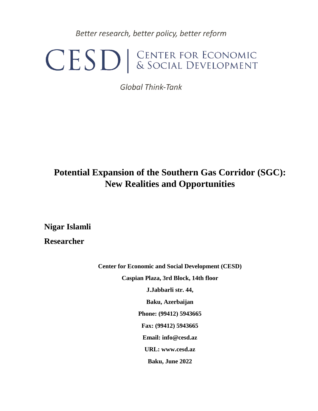Better research, better policy, better reform

# CESD | CENTER FOR ECONOMIC

**Global Think-Tank** 

# **Potential Expansion of the Southern Gas Corridor (SGC): New Realities and Opportunities**

**Nigar Islamli**

**Researcher**

**Center for Economic and Social Development (CESD) Caspian Plaza, 3rd Block, 14th floor J.Jabbarli str. 44, Baku, Azerbaijan Phone: (99412) 5943665 Fax: (99412) 5943665 Email: info@cesd.az URL: www.cesd.az Baku, June 2022**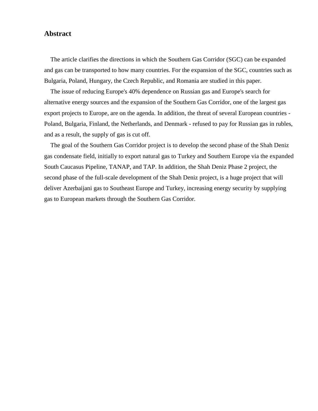## **Abstract**

 The article clarifies the directions in which the Southern Gas Corridor (SGC) can be expanded and gas can be transported to how many countries. For the expansion of the SGC, countries such as Bulgaria, Poland, Hungary, the Czech Republic, and Romania are studied in this paper.

 The issue of reducing Europe's 40% dependence on Russian gas and Europe's search for alternative energy sources and the expansion of the Southern Gas Corridor, one of the largest gas export projects to Europe, are on the agenda. In addition, the threat of several European countries - Poland, Bulgaria, Finland, the Netherlands, and Denmark - refused to pay for Russian gas in rubles, and as a result, the supply of gas is cut off.

 The goal of the Southern Gas Corridor project is to develop the second phase of the Shah Deniz gas condensate field, initially to export natural gas to Turkey and Southern Europe via the expanded South Caucasus Pipeline, TANAP, and TAP. In addition, the Shah Deniz Phase 2 project, the second phase of the full-scale development of the Shah Deniz project, is a huge project that will deliver Azerbaijani gas to Southeast Europe and Turkey, increasing energy security by supplying gas to European markets through the Southern Gas Corridor.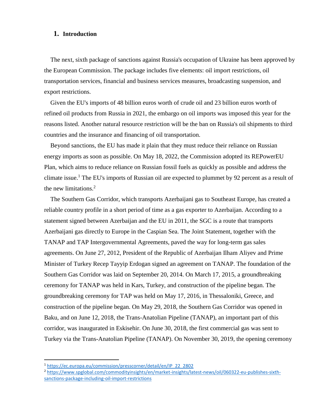#### **1. Introduction**

 The next, sixth package of sanctions against Russia's occupation of Ukraine has been approved by the European Commission. The package includes five elements: oil import restrictions, oil transportation services, financial and business services measures, broadcasting suspension, and export restrictions.

 Given the EU's imports of 48 billion euros worth of crude oil and 23 billion euros worth of refined oil products from Russia in 2021, the embargo on oil imports was imposed this year for the reasons listed. Another natural resource restriction will be the ban on Russia's oil shipments to third countries and the insurance and financing of oil transportation.

 Beyond sanctions, the EU has made it plain that they must reduce their reliance on Russian energy imports as soon as possible. On May 18, 2022, the Commission adopted its REPowerEU Plan, which aims to reduce reliance on Russian fossil fuels as quickly as possible and address the climate issue.<sup>1</sup> The EU's imports of Russian oil are expected to plummet by 92 percent as a result of the new limitations. $2$ 

 The Southern Gas Corridor, which transports Azerbaijani gas to Southeast Europe, has created a reliable country profile in a short period of time as a gas exporter to Azerbaijan. According to a statement signed between Azerbaijan and the EU in 2011, the SGC is a route that transports Azerbaijani gas directly to Europe in the Caspian Sea. The Joint Statement, together with the TANAP and TAP Intergovernmental Agreements, paved the way for long-term gas sales agreements. On June 27, 2012, President of the Republic of Azerbaijan Ilham Aliyev and Prime Minister of Turkey Recep Tayyip Erdogan signed an agreement on TANAP. The foundation of the Southern Gas Corridor was laid on September 20, 2014. On March 17, 2015, a groundbreaking ceremony for TANAP was held in Kars, Turkey, and construction of the pipeline began. The groundbreaking ceremony for TAP was held on May 17, 2016, in Thessaloniki, Greece, and construction of the pipeline began. On May 29, 2018, the Southern Gas Corridor was opened in Baku, and on June 12, 2018, the Trans-Anatolian Pipeline (TANAP), an important part of this corridor, was inaugurated in Eskisehir. On June 30, 2018, the first commercial gas was sent to Turkey via the Trans-Anatolian Pipeline (TANAP). On November 30, 2019, the opening ceremony

<sup>1</sup> [https://ec.europa.eu/commission/presscorner/detail/en/IP\\_22\\_2802](https://ec.europa.eu/commission/presscorner/detail/en/IP_22_2802)

<sup>2</sup> [https://www.spglobal.com/commodityinsights/en/market-insights/latest-news/oil/060322-eu-publishes-sixth](https://www.spglobal.com/commodityinsights/en/market-insights/latest-news/oil/060322-eu-publishes-sixth-sanctions-package-including-oil-import-restrictions)[sanctions-package-including-oil-import-restrictions](https://www.spglobal.com/commodityinsights/en/market-insights/latest-news/oil/060322-eu-publishes-sixth-sanctions-package-including-oil-import-restrictions)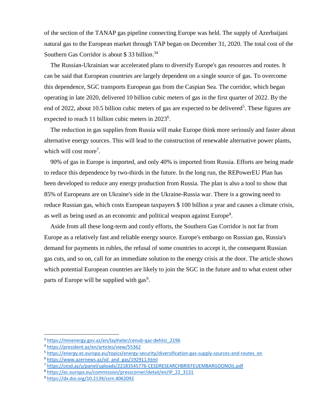of the section of the TANAP gas pipeline connecting Europe was held. The supply of Azerbaijani natural gas to the European market through TAP began on December 31, 2020. The total cost of the Southern Gas Corridor is about \$33 billion.<sup>34</sup>

 The Russian-Ukrainian war accelerated plans to diversify Europe's gas resources and routes. It can be said that European countries are largely dependent on a single source of gas. To overcome this dependence, SGC transports European gas from the Caspian Sea. The corridor, which began operating in late 2020, delivered 10 billion cubic meters of gas in the first quarter of 2022. By the end of 2022, about 10.5 billion cubic meters of gas are expected to be delivered<sup>5</sup>. These figures are expected to reach 11 billion cubic meters in 2023<sup>6</sup>.

 The reduction in gas supplies from Russia will make Europe think more seriously and faster about alternative energy sources. This will lead to the construction of renewable alternative power plants, which will cost more<sup>7</sup>.

 90% of gas in Europe is imported, and only 40% is imported from Russia. Efforts are being made to reduce this dependence by two-thirds in the future. In the long run, the REPowerEU Plan has been developed to reduce any energy production from Russia. The plan is also a tool to show that 85% of Europeans are on Ukraine's side in the Ukraine-Russia war. There is a growing need to reduce Russian gas, which costs European taxpayers \$ 100 billion a year and causes a climate crisis, as well as being used as an economic and political weapon against Europe<sup>8</sup>.

 Aside from all these long-term and costly efforts, the Southern Gas Corridor is not far from Europe as a relatively fast and reliable energy source. Europe's embargo on Russian gas, Russia's demand for payments in rubles, the refusal of some countries to accept it, the consequent Russian gas cuts, and so on, call for an immediate solution to the energy crisis at the door. The article shows which potential European countries are likely to join the SGC in the future and to what extent other parts of Europe will be supplied with  $gas<sup>9</sup>$ .

<sup>3</sup> [https://minenergy.gov.az/en/layiheler/cenub-qaz-dehlizi\\_2196](https://minenergy.gov.az/en/layiheler/cenub-qaz-dehlizi_2196)

<sup>4</sup> <https://president.az/en/articles/view/55362>

<sup>5</sup> [https://energy.ec.europa.eu/topics/energy-security/diversification-gas-supply-sources-and-routes\\_en](https://energy.ec.europa.eu/topics/energy-security/diversification-gas-supply-sources-and-routes_en)

<sup>&</sup>lt;sup>6</sup> [https://www.azernews.az/oil\\_and\\_gas/192911.html](https://www.azernews.az/oil_and_gas/192911.html)

<sup>7</sup> <https://cesd.az/y/panel/uploads/22183545776-CESDRESEARCHBRIEFEUEMBARGOONOIL.pdf>

<sup>8</sup> [https://ec.europa.eu/commission/presscorner/detail/en/IP\\_22\\_3131](https://ec.europa.eu/commission/presscorner/detail/en/IP_22_3131)

<sup>9</sup> <https://dx.doi.org/10.2139/ssrn.4062092>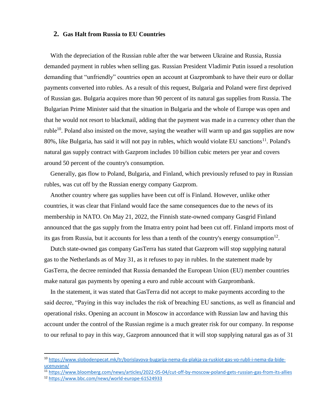#### **2. Gas Halt from Russia to EU Countries**

 With the depreciation of the Russian ruble after the war between Ukraine and Russia, Russia demanded payment in rubles when selling gas. Russian President Vladimir Putin issued a resolution demanding that "unfriendly" countries open an account at Gazprombank to have their euro or dollar payments converted into rubles. As a result of this request, Bulgaria and Poland were first deprived of Russian gas. Bulgaria acquires more than 90 percent of its natural gas supplies from Russia. The Bulgarian Prime Minister said that the situation in Bulgaria and the whole of Europe was open and that he would not resort to blackmail, adding that the payment was made in a currency other than the ruble<sup>10</sup>. Poland also insisted on the move, saying the weather will warm up and gas supplies are now 80%, like Bulgaria, has said it will not pay in rubles, which would violate EU sanctions<sup>11</sup>. Poland's natural gas supply contract with Gazprom includes 10 billion cubic meters per year and covers around 50 percent of the country's consumption.

 Generally, gas flow to Poland, Bulgaria, and Finland, which previously refused to pay in Russian rubles, was cut off by the Russian energy company Gazprom.

 Another country where gas supplies have been cut off is Finland. However, unlike other countries, it was clear that Finland would face the same consequences due to the news of its membership in NATO. On May 21, 2022, the Finnish state-owned company Gasgrid Finland announced that the gas supply from the Imatra entry point had been cut off. Finland imports most of its gas from Russia, but it accounts for less than a tenth of the country's energy consumption $12$ .

 Dutch state-owned gas company GasTerra has stated that Gazprom will stop supplying natural gas to the Netherlands as of May 31, as it refuses to pay in rubles. In the statement made by GasTerra, the decree reminded that Russia demanded the European Union (EU) member countries make natural gas payments by opening a euro and ruble account with Gazprombank.

 In the statement, it was stated that GasTerra did not accept to make payments according to the said decree, "Paying in this way includes the risk of breaching EU sanctions, as well as financial and operational risks. Opening an account in Moscow in accordance with Russian law and having this account under the control of the Russian regime is a much greater risk for our company. In response to our refusal to pay in this way, Gazprom announced that it will stop supplying natural gas as of 31

<sup>11</sup> <https://www.bloomberg.com/news/articles/2022-05-04/cut-off-by-moscow-poland-gets-russian-gas-from-its-allies>

 $\ddot{\phantom{a}}$ 

<sup>10</sup> [https://www.slobodenpecat.mk/tr/borislavova-bugarija-nema-da-plakja-za-ruskiot-gas-vo-rubli-i-nema-da-bide](https://www.slobodenpecat.mk/tr/borislavova-bugarija-nema-da-plakja-za-ruskiot-gas-vo-rubli-i-nema-da-bide-ucenuvana/)[ucenuvana/](https://www.slobodenpecat.mk/tr/borislavova-bugarija-nema-da-plakja-za-ruskiot-gas-vo-rubli-i-nema-da-bide-ucenuvana/)

<sup>12</sup> <https://www.bbc.com/news/world-europe-61524933>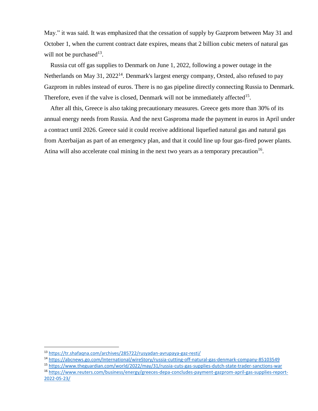May." it was said. It was emphasized that the cessation of supply by Gazprom between May 31 and October 1, when the current contract date expires, means that 2 billion cubic meters of natural gas will not be purchased $^{13}$ .

 Russia cut off gas supplies to Denmark on June 1, 2022, following a power outage in the Netherlands on May 31, 2022<sup>14</sup>. Denmark's largest energy company, Orsted, also refused to pay Gazprom in rubles instead of euros. There is no gas pipeline directly connecting Russia to Denmark. Therefore, even if the valve is closed, Denmark will not be immediately affected<sup>15</sup>.

 After all this, Greece is also taking precautionary measures. Greece gets more than 30% of its annual energy needs from Russia. And the next Gasproma made the payment in euros in April under a contract until 2026. Greece said it could receive additional liquefied natural gas and natural gas from Azerbaijan as part of an emergency plan, and that it could line up four gas-fired power plants. Atina will also accelerate coal mining in the next two years as a temporary precaution<sup>16</sup>.

<sup>13</sup> <https://tr.shafaqna.com/archives/285722/rusyadan-avrupaya-gaz-resti/>

<sup>14</sup> <https://abcnews.go.com/International/wireStory/russia-cutting-off-natural-gas-denmark-company-85103549>

<sup>15</sup> <https://www.theguardian.com/world/2022/may/31/russia-cuts-gas-supplies-dutch-state-trader-sanctions-war>

<sup>16</sup> [https://www.reuters.com/business/energy/greeces-depa-concludes-payment-gazprom-april-gas-supplies-report-](https://www.reuters.com/business/energy/greeces-depa-concludes-payment-gazprom-april-gas-supplies-report-2022-05-23/)[2022-05-23/](https://www.reuters.com/business/energy/greeces-depa-concludes-payment-gazprom-april-gas-supplies-report-2022-05-23/)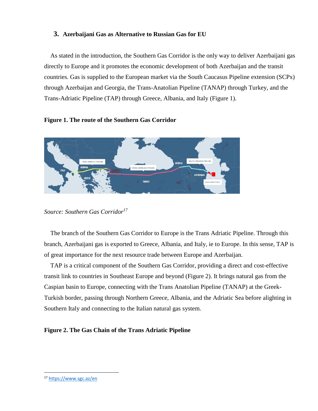#### **3. Azerbaijani Gas as Alternative to Russian Gas for EU**

 As stated in the introduction, the Southern Gas Corridor is the only way to deliver Azerbaijani gas directly to Europe and it promotes the economic development of both Azerbaijan and the transit countries. Gas is supplied to the European market via the South Caucasus Pipeline extension (SCPx) through Azerbaijan and Georgia, the Trans-Anatolian Pipeline (TANAP) through Turkey, and the Trans-Adriatic Pipeline (TAP) through Greece, Albania, and Italy (Figure 1).

#### **Figure 1. The route of the Southern Gas Corridor**



*Source: Southern Gas Corridor<sup>17</sup>*

 The branch of the Southern Gas Corridor to Europe is the Trans Adriatic Pipeline. Through this branch, Azerbaijani gas is exported to Greece, Albania, and Italy, ie to Europe. In this sense, TAP is of great importance for the next resource trade between Europe and Azerbaijan.

 TAP is a critical component of the Southern Gas Corridor, providing a direct and cost-effective transit link to countries in Southeast Europe and beyond (Figure 2). It brings natural gas from the Caspian basin to Europe, connecting with the Trans Anatolian Pipeline (TANAP) at the Greek-Turkish border, passing through Northern Greece, Albania, and the Adriatic Sea before alighting in Southern Italy and connecting to the Italian natural gas system.

#### **Figure 2. The Gas Chain of the Trans Adriatic Pipeline**

<sup>17</sup> <https://www.sgc.az/en>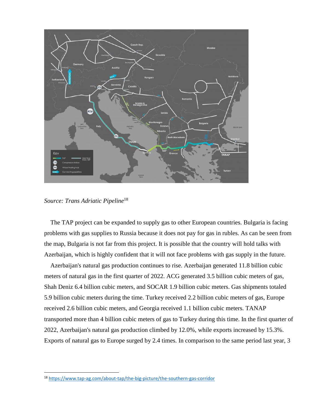

*Source: Trans Adriatic Pipeline*<sup>18</sup>

 $\overline{a}$ 

 The TAP project can be expanded to supply gas to other European countries. Bulgaria is facing problems with gas supplies to Russia because it does not pay for gas in rubles. As can be seen from the map, Bulgaria is not far from this project. It is possible that the country will hold talks with Azerbaijan, which is highly confident that it will not face problems with gas supply in the future.

 Azerbaijan's natural gas production continues to rise. Azerbaijan generated 11.8 billion cubic meters of natural gas in the first quarter of 2022. ACG generated 3.5 billion cubic meters of gas, Shah Deniz 6.4 billion cubic meters, and SOCAR 1.9 billion cubic meters. Gas shipments totaled 5.9 billion cubic meters during the time. Turkey received 2.2 billion cubic meters of gas, Europe received 2.6 billion cubic meters, and Georgia received 1.1 billion cubic meters. TANAP transported more than 4 billion cubic meters of gas to Turkey during this time. In the first quarter of 2022, Azerbaijan's natural gas production climbed by 12.0%, while exports increased by 15.3%. Exports of natural gas to Europe surged by 2.4 times. In comparison to the same period last year, 3

<sup>18</sup> <https://www.tap-ag.com/about-tap/the-big-picture/the-southern-gas-corridor>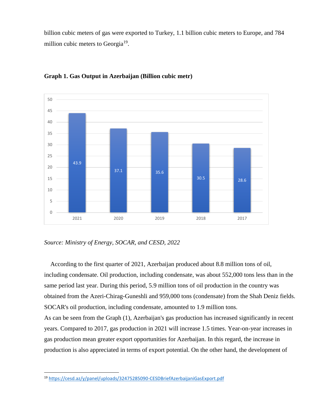billion cubic meters of gas were exported to Turkey, 1.1 billion cubic meters to Europe, and 784 million cubic meters to Georgia<sup>19</sup>.



**Graph 1. Gas Output in Azerbaijan (Billion cubic metr)**



 According to the first quarter of 2021, Azerbaijan produced about 8.8 million tons of oil, including condensate. Oil production, including condensate, was about 552,000 tons less than in the same period last year. During this period, 5.9 million tons of oil production in the country was obtained from the Azeri-Chirag-Guneshli and 959,000 tons (condensate) from the Shah Deniz fields. SOCAR's oil production, including condensate, amounted to 1.9 million tons. As can be seen from the Graph (1), Azerbaijan's gas production has increased significantly in recent years. Compared to 2017, gas production in 2021 will increase 1.5 times. Year-on-year increases in gas production mean greater export opportunities for Azerbaijan. In this regard, the increase in production is also appreciated in terms of export potential. On the other hand, the development of

<sup>19</sup> <https://cesd.az/y/panel/uploads/32475285090-CESDBriefAzerbaijaniGasExport.pdf>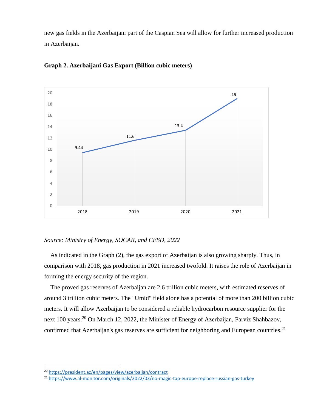new gas fields in the Azerbaijani part of the Caspian Sea will allow for further increased production in Azerbaijan.



#### **Graph 2. Azerbaijani Gas Export (Billion cubic meters)**

*Source: Ministry of Energy, SOCAR, and CESD, 2022*

 As indicated in the Graph (2), the gas export of Azerbaijan is also growing sharply. Thus, in comparison with 2018, gas production in 2021 increased twofold. It raises the role of Azerbaijan in forming the energy security of the region.

 The proved gas reserves of Azerbaijan are 2.6 trillion cubic meters, with estimated reserves of around 3 trillion cubic meters. The "Umid" field alone has a potential of more than 200 billion cubic meters. It will allow Azerbaijan to be considered a reliable hydrocarbon resource supplier for the next 100 years.<sup>20</sup> On March 12, 2022, the Minister of Energy of Azerbaijan, Parviz Shahbazov, confirmed that Azerbaijan's gas reserves are sufficient for neighboring and European countries.<sup>21</sup>

<sup>20</sup> <https://president.az/en/pages/view/azerbaijan/contract>

<sup>21</sup> <https://www.al-monitor.com/originals/2022/03/no-magic-tap-europe-replace-russian-gas-turkey>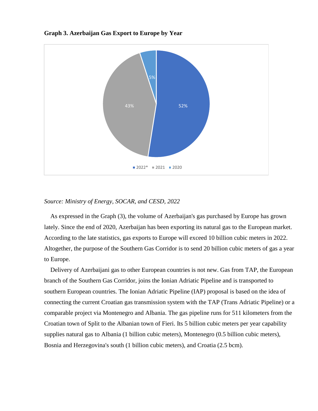



#### *Source: Ministry of Energy, SOCAR, and CESD, 2022*

 As expressed in the Graph (3), the volume of Azerbaijan's gas purchased by Europe has grown lately. Since the end of 2020, Azerbaijan has been exporting its natural gas to the European market. According to the late statistics, gas exports to Europe will exceed 10 billion cubic meters in 2022. Altogether, the purpose of the Southern Gas Corridor is to send 20 billion cubic meters of gas a year to Europe.

 Delivery of Azerbaijani gas to other European countries is not new. Gas from TAP, the European branch of the Southern Gas Corridor, joins the Ionian Adriatic Pipeline and is transported to southern European countries. The Ionian Adriatic Pipeline (IAP) proposal is based on the idea of connecting the current Croatian gas transmission system with the TAP (Trans Adriatic Pipeline) or a comparable project via Montenegro and Albania. The gas pipeline runs for 511 kilometers from the Croatian town of Split to the Albanian town of Fieri. Its 5 billion cubic meters per year capability supplies natural gas to Albania (1 billion cubic meters), Montenegro (0.5 billion cubic meters), Bosnia and Herzegovina's south (1 billion cubic meters), and Croatia (2.5 bcm).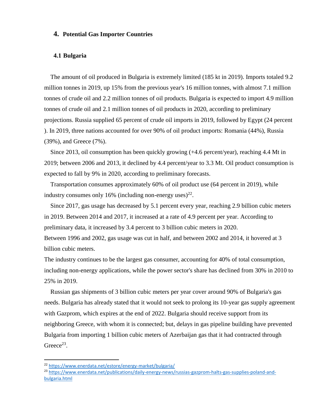#### **4. Potential Gas Importer Countries**

#### **4.1 Bulgaria**

 The amount of oil produced in Bulgaria is extremely limited (185 kt in 2019). Imports totaled 9.2 million tonnes in 2019, up 15% from the previous year's 16 million tonnes, with almost 7.1 million tonnes of crude oil and 2.2 million tonnes of oil products. Bulgaria is expected to import 4.9 million tonnes of crude oil and 2.1 million tonnes of oil products in 2020, according to preliminary projections. Russia supplied 65 percent of crude oil imports in 2019, followed by Egypt (24 percent ). In 2019, three nations accounted for over 90% of oil product imports: Romania (44%), Russia (39%), and Greece (7%).

 Since 2013, oil consumption has been quickly growing (+4.6 percent/year), reaching 4.4 Mt in 2019; between 2006 and 2013, it declined by 4.4 percent/year to 3.3 Mt. Oil product consumption is expected to fall by 9% in 2020, according to preliminary forecasts.

 Transportation consumes approximately 60% of oil product use (64 percent in 2019), while industry consumes only 16% (including non-energy uses)<sup>22</sup>.

 Since 2017, gas usage has decreased by 5.1 percent every year, reaching 2.9 billion cubic meters in 2019. Between 2014 and 2017, it increased at a rate of 4.9 percent per year. According to preliminary data, it increased by 3.4 percent to 3 billion cubic meters in 2020. Between 1996 and 2002, gas usage was cut in half, and between 2002 and 2014, it hovered at 3 billion cubic meters.

The industry continues to be the largest gas consumer, accounting for 40% of total consumption, including non-energy applications, while the power sector's share has declined from 30% in 2010 to 25% in 2019.

 Russian gas shipments of 3 billion cubic meters per year cover around 90% of Bulgaria's gas needs. Bulgaria has already stated that it would not seek to prolong its 10-year gas supply agreement with Gazprom, which expires at the end of 2022. Bulgaria should receive support from its neighboring Greece, with whom it is connected; but, delays in gas pipeline building have prevented Bulgaria from importing 1 billion cubic meters of Azerbaijan gas that it had contracted through Greece<sup>23</sup>.

<sup>22</sup> <https://www.enerdata.net/estore/energy-market/bulgaria/>

<sup>&</sup>lt;sup>23</sup> [https://www.enerdata.net/publications/daily-energy-news/russias-gazprom-halts-gas-supplies-poland-and](https://www.enerdata.net/publications/daily-energy-news/russias-gazprom-halts-gas-supplies-poland-and-bulgaria.html)[bulgaria.html](https://www.enerdata.net/publications/daily-energy-news/russias-gazprom-halts-gas-supplies-poland-and-bulgaria.html)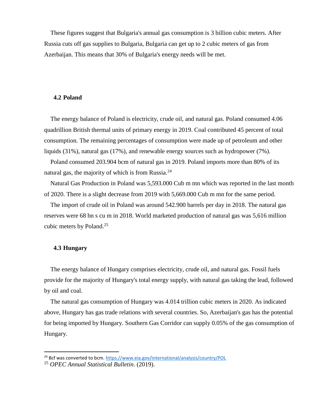These figures suggest that Bulgaria's annual gas consumption is 3 billion cubic meters. After Russia cuts off gas supplies to Bulgaria, Bulgaria can get up to 2 cubic meters of gas from Azerbaijan. This means that 30% of Bulgaria's energy needs will be met.

#### **4.2 Poland**

 The energy balance of Poland is electricity, crude oil, and natural gas. Poland consumed 4.06 quadrillion British thermal units of primary energy in 2019. Coal contributed 45 percent of total consumption. The remaining percentages of consumption were made up of petroleum and other liquids (31%), natural gas (17%), and renewable energy sources such as hydropower (7%).

 Poland consumed 203.904 bcm of natural gas in 2019. Poland imports more than 80% of its natural gas, the majority of which is from Russia. $^{24}$ 

 Natural Gas Production in Poland was 5,593.000 Cub m mn which was reported in the last month of 2020. There is a slight decrease from 2019 with 5,669.000 Cub m mn for the same period.

 The import of crude oil in Poland was around 542.900 barrels per day in 2018. The natural gas reserves were 68 bn s cu m in 2018. World marketed production of natural gas was 5,616 million cubic meters by Poland. 25

#### **4.3 Hungary**

 $\overline{a}$ 

 The energy balance of Hungary comprises electricity, crude oil, and natural gas. Fossil fuels provide for the majority of Hungary's total energy supply, with natural gas taking the lead, followed by oil and coal.

 The natural gas consumption of Hungary was 4.014 trillion cubic meters in 2020. As indicated above, Hungary has gas trade relations with several countries. So, Azerbaijan's gas has the potential for being imported by Hungary. Southern Gas Corridor can supply 0.05% of the gas consumption of Hungary.

<sup>&</sup>lt;sup>24</sup> Bcf was converted to bcm. <https://www.eia.gov/international/analysis/country/POL>

<sup>25</sup> *OPEC Annual Statistical Bulletin*. (2019).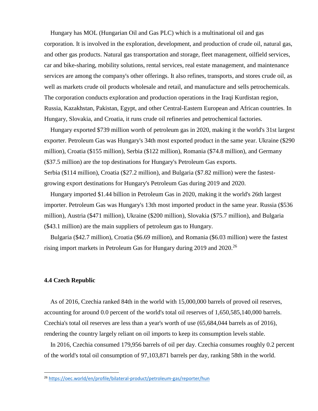Hungary has MOL (Hungarian Oil and Gas PLC) which is a multinational oil and gas corporation. It is involved in the exploration, development, and production of crude oil, natural gas, and other gas products. Natural gas transportation and storage, fleet management, oilfield services, car and bike-sharing, mobility solutions, rental services, real estate management, and maintenance services are among the company's other offerings. It also refines, transports, and stores crude oil, as well as markets crude oil products wholesale and retail, and manufacture and sells petrochemicals. The corporation conducts exploration and production operations in the Iraqi Kurdistan region, Russia, Kazakhstan, Pakistan, Egypt, and other Central-Eastern European and African countries. In Hungary, Slovakia, and Croatia, it runs crude oil refineries and petrochemical factories.

 Hungary exported \$739 million worth of petroleum gas in 2020, making it the world's 31st largest exporter. Petroleum Gas was Hungary's 34th most exported product in the same year. Ukraine (\$290 million), Croatia (\$155 million), Serbia (\$122 million), Romania (\$74.8 million), and Germany (\$37.5 million) are the top destinations for Hungary's Petroleum Gas exports. Serbia (\$114 million), Croatia (\$27.2 million), and Bulgaria (\$7.82 million) were the fastestgrowing export destinations for Hungary's Petroleum Gas during 2019 and 2020.

 Hungary imported \$1.44 billion in Petroleum Gas in 2020, making it the world's 26th largest importer. Petroleum Gas was Hungary's 13th most imported product in the same year. Russia (\$536 million), Austria (\$471 million), Ukraine (\$200 million), Slovakia (\$75.7 million), and Bulgaria (\$43.1 million) are the main suppliers of petroleum gas to Hungary.

 Bulgaria (\$42.7 million), Croatia (\$6.69 million), and Romania (\$6.03 million) were the fastest rising import markets in Petroleum Gas for Hungary during 2019 and 2020.<sup>26</sup>

#### **4.4 Czech Republic**

 $\overline{a}$ 

 As of 2016, Czechia ranked 84th in the world with 15,000,000 barrels of proved oil reserves, accounting for around 0.0 percent of the world's total oil reserves of 1,650,585,140,000 barrels. Czechia's total oil reserves are less than a year's worth of use (65,684,044 barrels as of 2016), rendering the country largely reliant on oil imports to keep its consumption levels stable.

 In 2016, Czechia consumed 179,956 barrels of oil per day. Czechia consumes roughly 0.2 percent of the world's total oil consumption of 97,103,871 barrels per day, ranking 58th in the world.

<sup>26</sup> <https://oec.world/en/profile/bilateral-product/petroleum-gas/reporter/hun>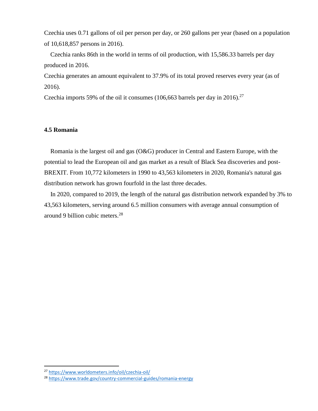Czechia uses 0.71 gallons of oil per person per day, or 260 gallons per year (based on a population of 10,618,857 persons in 2016).

 Czechia ranks 86th in the world in terms of oil production, with 15,586.33 barrels per day produced in 2016.

Czechia generates an amount equivalent to 37.9% of its total proved reserves every year (as of 2016).

Czechia imports 59% of the oil it consumes (106,663 barrels per day in 2016).<sup>27</sup>

#### **4.5 Romania**

 Romania is the largest oil and gas (O&G) producer in Central and Eastern Europe, with the potential to lead the European oil and gas market as a result of Black Sea discoveries and post-BREXIT. From 10,772 kilometers in 1990 to 43,563 kilometers in 2020, Romania's natural gas distribution network has grown fourfold in the last three decades.

 In 2020, compared to 2019, the length of the natural gas distribution network expanded by 3% to 43,563 kilometers, serving around 6.5 million consumers with average annual consumption of around 9 billion cubic meters.<sup>28</sup>

<sup>27</sup> <https://www.worldometers.info/oil/czechia-oil/>

<sup>28</sup> <https://www.trade.gov/country-commercial-guides/romania-energy>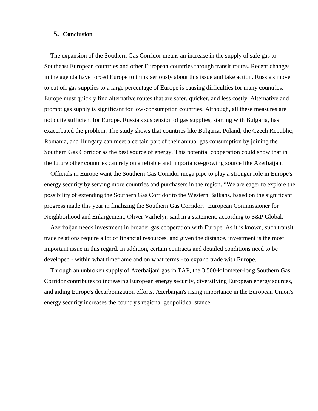#### **5. Conclusion**

 The expansion of the Southern Gas Corridor means an increase in the supply of safe gas to Southeast European countries and other European countries through transit routes. Recent changes in the agenda have forced Europe to think seriously about this issue and take action. Russia's move to cut off gas supplies to a large percentage of Europe is causing difficulties for many countries. Europe must quickly find alternative routes that are safer, quicker, and less costly. Alternative and prompt gas supply is significant for low-consumption countries. Although, all these measures are not quite sufficient for Europe. Russia's suspension of gas supplies, starting with Bulgaria, has exacerbated the problem. The study shows that countries like Bulgaria, Poland, the Czech Republic, Romania, and Hungary can meet a certain part of their annual gas consumption by joining the Southern Gas Corridor as the best source of energy. This potential cooperation could show that in the future other countries can rely on a reliable and importance-growing source like Azerbaijan.

 Officials in Europe want the Southern Gas Corridor mega pipe to play a stronger role in Europe's energy security by serving more countries and purchasers in the region. "We are eager to explore the possibility of extending the Southern Gas Corridor to the Western Balkans, based on the significant progress made this year in finalizing the Southern Gas Corridor," European Commissioner for Neighborhood and Enlargement, Oliver Varhelyi, said in a statement, according to S&P Global.

 Azerbaijan needs investment in broader gas cooperation with Europe. As it is known, such transit trade relations require a lot of financial resources, and given the distance, investment is the most important issue in this regard. In addition, certain contracts and detailed conditions need to be developed - within what timeframe and on what terms - to expand trade with Europe.

 Through an unbroken supply of Azerbaijani gas in TAP, the 3,500-kilometer-long Southern Gas Corridor contributes to increasing European energy security, diversifying European energy sources, and aiding Europe's decarbonization efforts. Azerbaijan's rising importance in the European Union's energy security increases the country's regional geopolitical stance.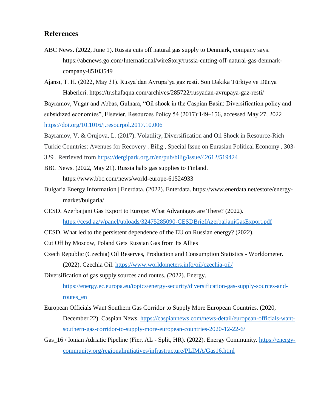### **References**

ABC News. (2022, June 1). Russia cuts off natural gas supply to Denmark, company says. https://abcnews.go.com/International/wireStory/russia-cutting-off-natural-gas-denmarkcompany-85103549

Ajansı, T. H. (2022, May 31). Rusya'dan Avrupa'ya gaz resti. Son Dakika Türkiye ve Dünya Haberleri. https://tr.shafaqna.com/archives/285722/rusyadan-avrupaya-gaz-resti/

Bayramov, Vugar and Abbas, Gulnara, "Oil shock in the Caspian Basin: Diversification policy and subsidized economies", Elsevier, Resources Policy 54 (2017):149–156, accessed May 27, 2022 <https://doi.org/10.1016/j.resourpol.2017.10.006>

Bayramov, V. & Orujova, L. (2017). Volatility, Diversification and Oil Shock in Resource-Rich

Turkic Countries: Avenues for Recovery . Bilig , Special Issue on Eurasian Political Economy , 303-

329 . Retrieved from<https://dergipark.org.tr/en/pub/bilig/issue/42612/519424>

BBC News. (2022, May 21). Russia halts gas supplies to Finland. https://www.bbc.com/news/world-europe-61524933

- Bulgaria Energy Information | Enerdata. (2022). Enterdata. https://www.enerdata.net/estore/energymarket/bulgaria/
- CESD. Azerbaijani Gas Export to Europe: What Advantages are There? (2022). <https://cesd.az/y/panel/uploads/32475285090-CESDBriefAzerbaijaniGasExport.pdf>
- CESD. What led to the persistent dependence of the EU on Russian energy? (2022).
- Cut Off by Moscow, Poland Gets Russian Gas from Its Allies
- Czech Republic (Czechia) Oil Reserves, Production and Consumption Statistics Worldometer. (2022). Czechia Oil.<https://www.worldometers.info/oil/czechia-oil/>

Diversification of gas supply sources and routes. (2022). Energy. [https://energy.ec.europa.eu/topics/energy-security/diversification-gas-supply-sources-and](https://energy.ec.europa.eu/topics/energy-security/diversification-gas-supply-sources-and-routes_en)[routes\\_en](https://energy.ec.europa.eu/topics/energy-security/diversification-gas-supply-sources-and-routes_en)

- European Officials Want Southern Gas Corridor to Supply More European Countries. (2020, December 22). Caspian News. [https://caspiannews.com/news-detail/european-officials-want](https://caspiannews.com/news-detail/european-officials-want-southern-gas-corridor-to-supply-more-european-countries-2020-12-22-6/)[southern-gas-corridor-to-supply-more-european-countries-2020-12-22-6/](https://caspiannews.com/news-detail/european-officials-want-southern-gas-corridor-to-supply-more-european-countries-2020-12-22-6/)
- Gas\_16 / Ionian Adriatic Pipeline (Fier, AL Split, HR). (2022). Energy Community. [https://energy](https://energy-community.org/regionalinitiatives/infrastructure/PLIMA/Gas16.html)[community.org/regionalinitiatives/infrastructure/PLIMA/Gas16.html](https://energy-community.org/regionalinitiatives/infrastructure/PLIMA/Gas16.html)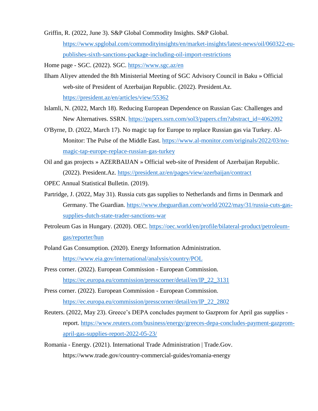Griffin, R. (2022, June 3). S&P Global Commodity Insights. S&P Global.

[https://www.spglobal.com/commodityinsights/en/market-insights/latest-news/oil/060322-eu](https://www.spglobal.com/commodityinsights/en/market-insights/latest-news/oil/060322-eu-publishes-sixth-sanctions-package-including-oil-import-restrictions)[publishes-sixth-sanctions-package-including-oil-import-restrictions](https://www.spglobal.com/commodityinsights/en/market-insights/latest-news/oil/060322-eu-publishes-sixth-sanctions-package-including-oil-import-restrictions)

Home page - SGC. (2022). SGC.<https://www.sgc.az/en>

- Ilham Aliyev attended the 8th Ministerial Meeting of SGC Advisory Council in Baku » Official web-site of President of Azerbaijan Republic. (2022). President.Az. <https://president.az/en/articles/view/55362>
- Islamli, N. (2022, March 18). Reducing European Dependence on Russian Gas: Challenges and New Alternatives. SSRN. [https://papers.ssrn.com/sol3/papers.cfm?abstract\\_id=4062092](https://papers.ssrn.com/sol3/papers.cfm?abstract_id=4062092)
- O'Byrne, D. (2022, March 17). No magic tap for Europe to replace Russian gas via Turkey. Al-Monitor: The Pulse of the Middle East. [https://www.al-monitor.com/originals/2022/03/no](https://www.al-monitor.com/originals/2022/03/no-magic-tap-europe-replace-russian-gas-turkey)[magic-tap-europe-replace-russian-gas-turkey](https://www.al-monitor.com/originals/2022/03/no-magic-tap-europe-replace-russian-gas-turkey)
- Oil and gas projects » AZERBAIJAN » Official web-site of President of Azerbaijan Republic. (2022). President.Az.<https://president.az/en/pages/view/azerbaijan/contract>
- OPEC Annual Statistical Bulletin. (2019).
- Partridge, J. (2022, May 31). Russia cuts gas supplies to Netherlands and firms in Denmark and Germany. The Guardian. [https://www.theguardian.com/world/2022/may/31/russia-cuts-gas](https://www.theguardian.com/world/2022/may/31/russia-cuts-gas-supplies-dutch-state-trader-sanctions-war)[supplies-dutch-state-trader-sanctions-war](https://www.theguardian.com/world/2022/may/31/russia-cuts-gas-supplies-dutch-state-trader-sanctions-war)
- Petroleum Gas in Hungary. (2020). OEC. [https://oec.world/en/profile/bilateral-product/petroleum](https://oec.world/en/profile/bilateral-product/petroleum-gas/reporter/hun)[gas/reporter/hun](https://oec.world/en/profile/bilateral-product/petroleum-gas/reporter/hun)
- Poland Gas Consumption. (2020). Energy Information Administration. <https://www.eia.gov/international/analysis/country/POL>
- Press corner. (2022). European Commission European Commission. [https://ec.europa.eu/commission/presscorner/detail/en/IP\\_22\\_3131](https://ec.europa.eu/commission/presscorner/detail/en/IP_22_3131)
- Press corner. (2022). European Commission European Commission. [https://ec.europa.eu/commission/presscorner/detail/en/IP\\_22\\_2802](https://ec.europa.eu/commission/presscorner/detail/en/IP_22_2802)
- Reuters. (2022, May 23). Greece's DEPA concludes payment to Gazprom for April gas supplies report. [https://www.reuters.com/business/energy/greeces-depa-concludes-payment-gazprom](https://www.reuters.com/business/energy/greeces-depa-concludes-payment-gazprom-april-gas-supplies-report-2022-05-23/)[april-gas-supplies-report-2022-05-23/](https://www.reuters.com/business/energy/greeces-depa-concludes-payment-gazprom-april-gas-supplies-report-2022-05-23/)
- Romania Energy. (2021). International Trade Administration | Trade.Gov. https://www.trade.gov/country-commercial-guides/romania-energy